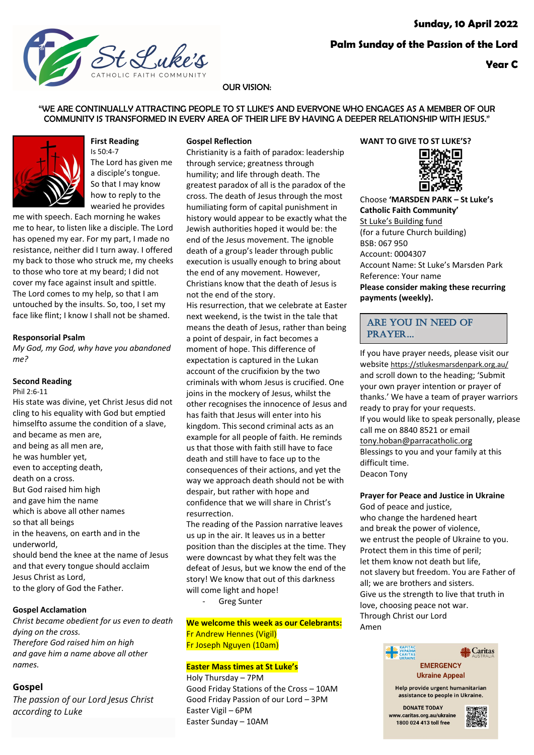

## **Year C**

## OUR VISION:

"WE ARE CONTINUALLY ATTRACTING PEOPLE TO ST LUKE'S AND EVERYONE WHO ENGAGES AS A MEMBER OF OUR COMMUNITY IS TRANSFORMED IN EVERY AREA OF THEIR LIFE BY HAVING A DEEPER RELATIONSHIP WITH JESUS."



## **First Reading** Is 50:4-7 The Lord has given me a disciple's tongue. So that I may know how to reply to the

wearied he provides me with speech. Each morning he wakes me to hear, to listen like a disciple. The Lord has opened my ear. For my part, I made no resistance, neither did I turn away. I offered my back to those who struck me, my cheeks to those who tore at my beard; I did not cover my face against insult and spittle. The Lord comes to my help, so that I am untouched by the insults. So, too, I set my face like flint; I know I shall not be shamed.

#### **Responsorial Psalm**

*My God, my God, why have you abandoned me?*

## **Second Reading**

#### Phil 2:6-11

His state was divine, yet Christ Jesus did not cling to his equality with God but emptied himselfto assume the condition of a slave, and became as men are, and being as all men are, he was humbler yet, even to accepting death, death on a cross. But God raised him high and gave him the name which is above all other names so that all beings in the heavens, on earth and in the underworld, should bend the knee at the name of Jesus and that every tongue should acclaim Jesus Christ as Lord, to the glory of God the Father.

## **Gospel Acclamation**

*Christ became obedient for us even to death dying on the cross. Therefore God raised him on high and gave him a name above all other names.*

## **Gospel**

*The passion of our Lord Jesus Christ according to Luke*

## **Gospel Reflection**

Christianity is a faith of paradox: leadership through service; greatness through humility; and life through death. The greatest paradox of all is the paradox of the cross. The death of Jesus through the most humiliating form of capital punishment in history would appear to be exactly what the Jewish authorities hoped it would be: the end of the Jesus movement. The ignoble death of a group's leader through public execution is usually enough to bring about the end of any movement. However, Christians know that the death of Jesus is not the end of the story. His resurrection, that we celebrate at Easter next weekend, is the twist in the tale that means the death of Jesus, rather than being a point of despair, in fact becomes a moment of hope. This difference of expectation is captured in the Lukan account of the crucifixion by the two criminals with whom Jesus is crucified. One joins in the mockery of Jesus, whilst the other recognises the innocence of Jesus and has faith that Jesus will enter into his kingdom. This second criminal acts as an example for all people of faith. He reminds us that those with faith still have to face death and still have to face up to the consequences of their actions, and yet the way we approach death should not be with despair, but rather with hope and confidence that we will share in Christ's resurrection.

The reading of the Passion narrative leaves us up in the air. It leaves us in a better position than the disciples at the time. They were downcast by what they felt was the defeat of Jesus, but we know the end of the story! We know that out of this darkness will come light and hope!

Greg Sunter

**We welcome this week as our Celebrants:** Fr Andrew Hennes (Vigil) Fr Joseph Nguyen (10am)

#### **Easter Mass times at St Luke's**

Holy Thursday – 7PM Good Friday Stations of the Cross – 10AM Good Friday Passion of our Lord – 3PM Easter Vigil – 6PM Easter Sunday – 10AM

## **WANT TO GIVE TO ST LUKE'S?**



Choose **'MARSDEN PARK – St Luke's Catholic Faith Community'** St Luke's Building fund (for a future Church building) BSB: 067 950 Account: 0004307 Account Name: St Luke's Marsden Park Reference: Your name **Please consider making these recurring payments (weekly).**

## ARE YOU IN NEED OF PRAYER…

If you have prayer needs, please visit our website https://stlukesmarsdenpark.org.au/ and scroll down to the heading; 'Submit your own prayer intention or prayer of thanks.' We have a team of prayer warriors ready to pray for your requests. If you would like to speak personally, please call me on 8840 8521 or email tony.hoban@parracatholic.org Blessings to you and your family at this difficult time. Deacon Tony

#### **Prayer for Peace and Justice in Ukraine**

God of peace and justice, who change the hardened heart and break the power of violence, we entrust the people of Ukraine to you. Protect them in this time of peril; let them know not death but life, not slavery but freedom. You are Father of all; we are brothers and sisters. Give us the strength to live that truth in love, choosing peace not war. Through Christ our Lord Amen



Help provide urgent humanitarian assistance to people in Ukraine.

**DONATE TODAY** www.caritas.org.au/ukraine 1800 024 413 toll free